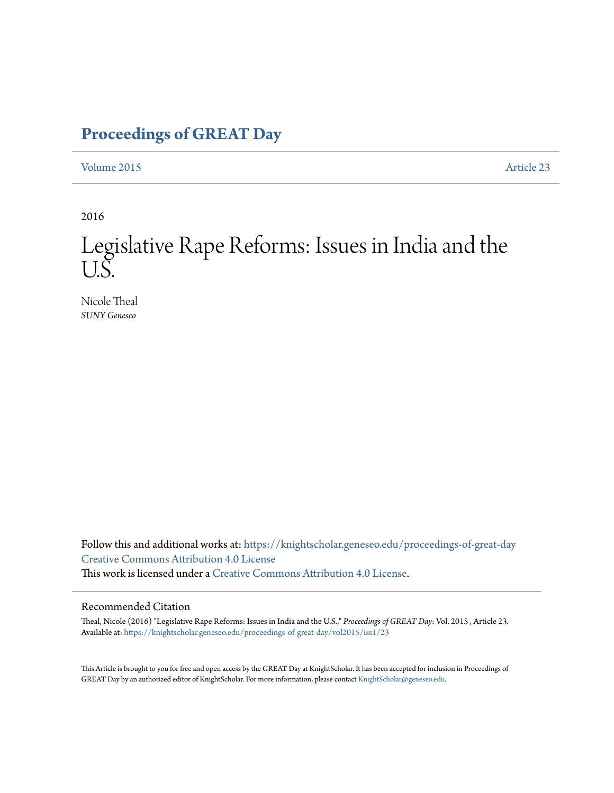### **[Proceedings of GREAT Day](https://knightscholar.geneseo.edu/proceedings-of-great-day?utm_source=knightscholar.geneseo.edu%2Fproceedings-of-great-day%2Fvol2015%2Fiss1%2F23&utm_medium=PDF&utm_campaign=PDFCoverPages)**

[Volume 2015](https://knightscholar.geneseo.edu/proceedings-of-great-day/vol2015?utm_source=knightscholar.geneseo.edu%2Fproceedings-of-great-day%2Fvol2015%2Fiss1%2F23&utm_medium=PDF&utm_campaign=PDFCoverPages) **[Article 23](https://knightscholar.geneseo.edu/proceedings-of-great-day/vol2015/iss1/23?utm_source=knightscholar.geneseo.edu%2Fproceedings-of-great-day%2Fvol2015%2Fiss1%2F23&utm_medium=PDF&utm_campaign=PDFCoverPages)** 

2016

# Legislative Rape Reforms: Issues in India and the U.S.

Nicole Theal *SUNY Geneseo*

Follow this and additional works at: [https://knightscholar.geneseo.edu/proceedings-of-great-day](https://knightscholar.geneseo.edu/proceedings-of-great-day?utm_source=knightscholar.geneseo.edu%2Fproceedings-of-great-day%2Fvol2015%2Fiss1%2F23&utm_medium=PDF&utm_campaign=PDFCoverPages) [Creative Commons Attribution 4.0 License](http://creativecommons.org/licenses/by/4.0/) This work is licensed under a [Creative Commons Attribution 4.0 License.](http://creativecommons.org/licenses/by/4.0/)

#### Recommended Citation

Theal, Nicole (2016) "Legislative Rape Reforms: Issues in India and the U.S.," *Proceedings of GREAT Day*: Vol. 2015 , Article 23. Available at: [https://knightscholar.geneseo.edu/proceedings-of-great-day/vol2015/iss1/23](https://knightscholar.geneseo.edu/proceedings-of-great-day/vol2015/iss1/23?utm_source=knightscholar.geneseo.edu%2Fproceedings-of-great-day%2Fvol2015%2Fiss1%2F23&utm_medium=PDF&utm_campaign=PDFCoverPages)

This Article is brought to you for free and open access by the GREAT Day at KnightScholar. It has been accepted for inclusion in Proceedings of GREAT Day by an authorized editor of KnightScholar. For more information, please contact [KnightScholar@geneseo.edu.](mailto:KnightScholar@geneseo.edu)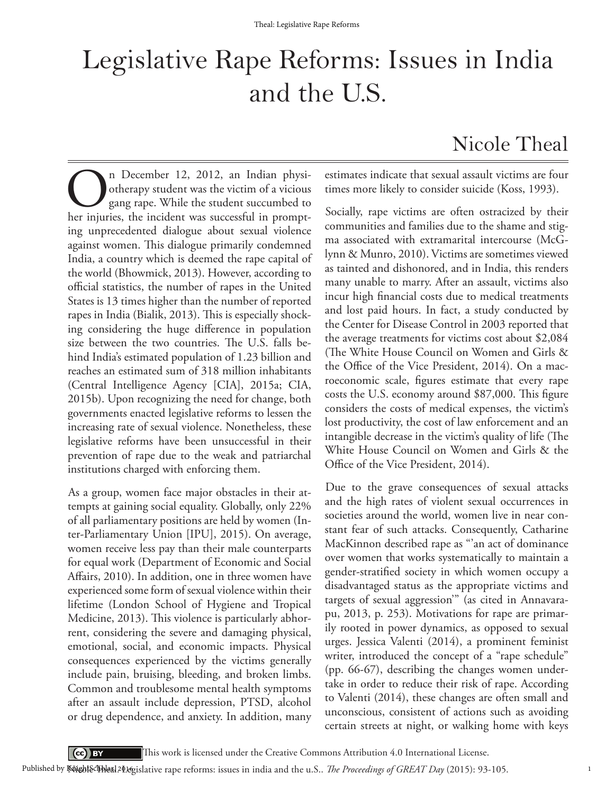# Legislative Rape Reforms: Issues in India and the U.S.

## Nicole Theal

On December 12, 2012, an Indian physiotherapy student was the victim of a vicious gang rape. While the student succumbed to her injuries, the incident was successful in promptotherapy student was the victim of a vicious gang rape. While the student succumbed to her injuries, the incident was successful in prompting unprecedented dialogue about sexual violence against women. This dialogue primarily condemned India, a country which is deemed the rape capital of the world (Bhowmick, 2013). However, according to official statistics, the number of rapes in the United States is 13 times higher than the number of reported rapes in India (Bialik, 2013). This is especially shocking considering the huge difference in population size between the two countries. The U.S. falls behind India's estimated population of 1.23 billion and reaches an estimated sum of 318 million inhabitants (Central Intelligence Agency [CIA], 2015a; CIA, 2015b). Upon recognizing the need for change, both governments enacted legislative reforms to lessen the increasing rate of sexual violence. Nonetheless, these legislative reforms have been unsuccessful in their prevention of rape due to the weak and patriarchal institutions charged with enforcing them.

As a group, women face major obstacles in their attempts at gaining social equality. Globally, only 22% of all parliamentary positions are held by women (Inter-Parliamentary Union [IPU], 2015). On average, women receive less pay than their male counterparts for equal work (Department of Economic and Social Affairs, 2010). In addition, one in three women have experienced some form of sexual violence within their lifetime (London School of Hygiene and Tropical Medicine, 2013). This violence is particularly abhorrent, considering the severe and damaging physical, emotional, social, and economic impacts. Physical consequences experienced by the victims generally include pain, bruising, bleeding, and broken limbs. Common and troublesome mental health symptoms after an assault include depression, PTSD, alcohol or drug dependence, and anxiety. In addition, many

 $\left($ cc  $\right)$  BY

estimates indicate that sexual assault victims are four times more likely to consider suicide (Koss, 1993).

Socially, rape victims are often ostracized by their communities and families due to the shame and stigma associated with extramarital intercourse (McGlynn & Munro, 2010). Victims are sometimes viewed as tainted and dishonored, and in India, this renders many unable to marry. After an assault, victims also incur high financial costs due to medical treatments and lost paid hours. In fact, a study conducted by the Center for Disease Control in 2003 reported that the average treatments for victims cost about \$2,084 (The White House Council on Women and Girls & the Office of the Vice President, 2014). On a macroeconomic scale, figures estimate that every rape costs the U.S. economy around \$87,000. This figure considers the costs of medical expenses, the victim's lost productivity, the cost of law enforcement and an intangible decrease in the victim's quality of life (The White House Council on Women and Girls & the Office of the Vice President, 2014).

Due to the grave consequences of sexual attacks and the high rates of violent sexual occurrences in societies around the world, women live in near constant fear of such attacks. Consequently, Catharine MacKinnon described rape as "'an act of dominance over women that works systematically to maintain a gender-stratified society in which women occupy a disadvantaged status as the appropriate victims and targets of sexual aggression'" (as cited in Annavarapu, 2013, p. 253). Motivations for rape are primarily rooted in power dynamics, as opposed to sexual urges. Jessica Valenti (2014), a prominent feminist writer, introduced the concept of a "rape schedule" (pp. 66-67), describing the changes women undertake in order to reduce their risk of rape. According to Valenti (2014), these changes are often small and unconscious, consistent of actions such as avoiding certain streets at night, or walking home with keys

This work is licensed under the Creative Commons Attribution 4.0 International License.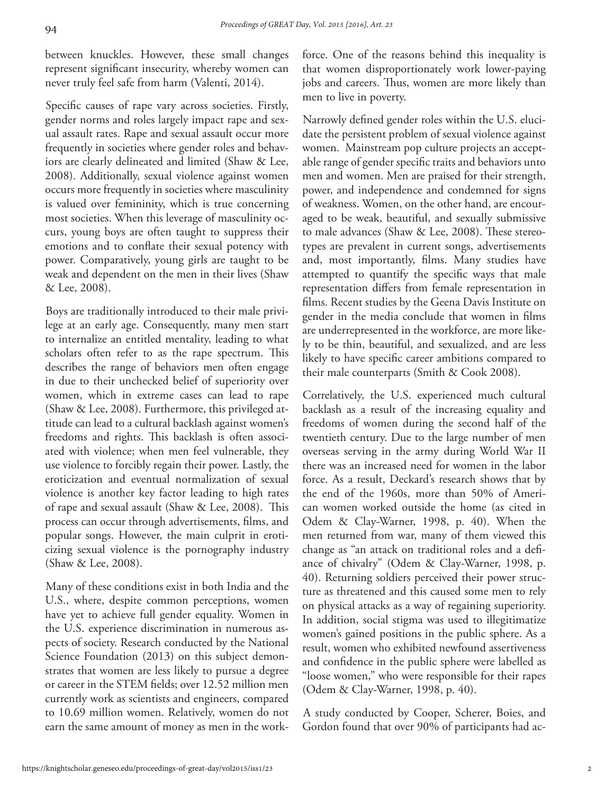between knuckles. However, these small changes represent significant insecurity, whereby women can never truly feel safe from harm (Valenti, 2014).

Specific causes of rape vary across societies. Firstly, gender norms and roles largely impact rape and sexual assault rates. Rape and sexual assault occur more frequently in societies where gender roles and behaviors are clearly delineated and limited (Shaw & Lee, 2008). Additionally, sexual violence against women occurs more frequently in societies where masculinity is valued over femininity, which is true concerning most societies. When this leverage of masculinity occurs, young boys are often taught to suppress their emotions and to conflate their sexual potency with power. Comparatively, young girls are taught to be weak and dependent on the men in their lives (Shaw & Lee, 2008).

Boys are traditionally introduced to their male privilege at an early age. Consequently, many men start to internalize an entitled mentality, leading to what scholars often refer to as the rape spectrum. This describes the range of behaviors men often engage in due to their unchecked belief of superiority over women, which in extreme cases can lead to rape (Shaw & Lee, 2008). Furthermore, this privileged attitude can lead to a cultural backlash against women's freedoms and rights. This backlash is often associated with violence; when men feel vulnerable, they use violence to forcibly regain their power. Lastly, the eroticization and eventual normalization of sexual violence is another key factor leading to high rates of rape and sexual assault (Shaw & Lee, 2008). This process can occur through advertisements, films, and popular songs. However, the main culprit in eroticizing sexual violence is the pornography industry (Shaw & Lee, 2008).

Many of these conditions exist in both India and the U.S., where, despite common perceptions, women have yet to achieve full gender equality. Women in the U.S. experience discrimination in numerous aspects of society. Research conducted by the National Science Foundation (2013) on this subject demonstrates that women are less likely to pursue a degree or career in the STEM fields; over 12.52 million men currently work as scientists and engineers, compared to 10.69 million women. Relatively, women do not earn the same amount of money as men in the work-

force. One of the reasons behind this inequality is that women disproportionately work lower-paying jobs and careers. Thus, women are more likely than men to live in poverty.

Narrowly defined gender roles within the U.S. elucidate the persistent problem of sexual violence against women. Mainstream pop culture projects an acceptable range of gender specific traits and behaviors unto men and women. Men are praised for their strength, power, and independence and condemned for signs of weakness. Women, on the other hand, are encouraged to be weak, beautiful, and sexually submissive to male advances (Shaw & Lee, 2008). These stereotypes are prevalent in current songs, advertisements and, most importantly, films. Many studies have attempted to quantify the specific ways that male representation differs from female representation in films. Recent studies by the Geena Davis Institute on gender in the media conclude that women in films are underrepresented in the workforce, are more likely to be thin, beautiful, and sexualized, and are less likely to have specific career ambitions compared to their male counterparts (Smith & Cook 2008).

Correlatively, the U.S. experienced much cultural backlash as a result of the increasing equality and freedoms of women during the second half of the twentieth century. Due to the large number of men overseas serving in the army during World War II there was an increased need for women in the labor force. As a result, Deckard's research shows that by the end of the 1960s, more than 50% of American women worked outside the home (as cited in Odem & Clay-Warner, 1998, p. 40). When the men returned from war, many of them viewed this change as "an attack on traditional roles and a defiance of chivalry" (Odem & Clay-Warner, 1998, p. 40). Returning soldiers perceived their power structure as threatened and this caused some men to rely on physical attacks as a way of regaining superiority. In addition, social stigma was used to illegitimatize women's gained positions in the public sphere. As a result, women who exhibited newfound assertiveness and confidence in the public sphere were labelled as "loose women," who were responsible for their rapes (Odem & Clay-Warner, 1998, p. 40).

A study conducted by Cooper, Scherer, Boies, and Gordon found that over 90% of participants had ac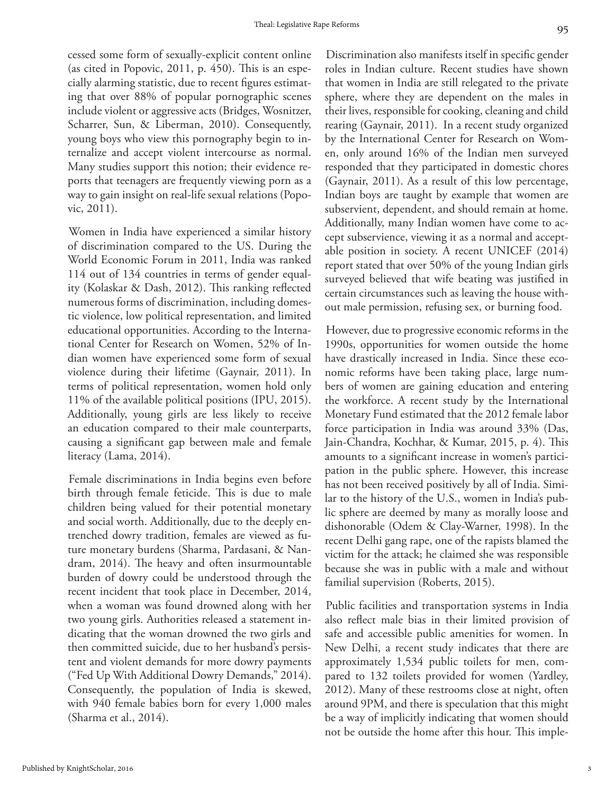cessed some form of sexually-explicit content online (as cited in Popovic, 2011, p. 450). This is an especially alarming statistic, due to recent figures estimating that over 88% of popular pornographic scenes include violent or aggressive acts (Bridges, Wosnitzer, Scharrer, Sun, & Liberman, 2010). Consequently, young boys who view this pornography begin to internalize and accept violent intercourse as normal. Many studies support this notion; their evidence reports that teenagers are frequently viewing porn as a way to gain insight on real-life sexual relations (Popo-

vic, 2011).

Women in India have experienced a similar history of discrimination compared to the US. During the World Economic Forum in 2011, India was ranked 114 out of 134 countries in terms of gender equality (Kolaskar & Dash, 2012). This ranking reflected numerous forms of discrimination, including domestic violence, low political representation, and limited educational opportunities. According to the International Center for Research on Women, 52% of Indian women have experienced some form of sexual violence during their lifetime (Gaynair, 2011). In terms of political representation, women hold only 11% of the available political positions (IPU, 2015). Additionally, young girls are less likely to receive an education compared to their male counterparts, causing a significant gap between male and female literacy (Lama, 2014).

Female discriminations in India begins even before birth through female feticide. This is due to male children being valued for their potential monetary and social worth. Additionally, due to the deeply entrenched dowry tradition, females are viewed as future monetary burdens (Sharma, Pardasani, & Nandram, 2014). The heavy and often insurmountable burden of dowry could be understood through the recent incident that took place in December, 2014, when a woman was found drowned along with her two young girls. Authorities released a statement indicating that the woman drowned the two girls and then committed suicide, due to her husband's persistent and violent demands for more dowry payments ("Fed Up With Additional Dowry Demands," 2014). Consequently, the population of India is skewed, with 940 female babies born for every 1,000 males (Sharma et al., 2014).

Discrimination also manifests itself in specific gender roles in Indian culture. Recent studies have shown that women in India are still relegated to the private sphere, where they are dependent on the males in their lives, responsible for cooking, cleaning and child rearing (Gaynair, 2011). In a recent study organized by the International Center for Research on Women, only around 16% of the Indian men surveyed responded that they participated in domestic chores (Gaynair, 2011). As a result of this low percentage, Indian boys are taught by example that women are subservient, dependent, and should remain at home. Additionally, many Indian women have come to accept subservience, viewing it as a normal and acceptable position in society. A recent UNICEF (2014) report stated that over 50% of the young Indian girls surveyed believed that wife beating was justified in certain circumstances such as leaving the house without male permission, refusing sex, or burning food.

However, due to progressive economic reforms in the 1990s, opportunities for women outside the home have drastically increased in India. Since these economic reforms have been taking place, large numbers of women are gaining education and entering the workforce. A recent study by the International Monetary Fund estimated that the 2012 female labor force participation in India was around 33% (Das, Jain-Chandra, Kochhar, & Kumar, 2015, p. 4). This amounts to a significant increase in women's participation in the public sphere. However, this increase has not been received positively by all of India. Similar to the history of the U.S., women in India's public sphere are deemed by many as morally loose and dishonorable (Odem & Clay-Warner, 1998). In the recent Delhi gang rape, one of the rapists blamed the victim for the attack; he claimed she was responsible because she was in public with a male and without familial supervision (Roberts, 2015).

Public facilities and transportation systems in India also reflect male bias in their limited provision of safe and accessible public amenities for women. In New Delhi, a recent study indicates that there are approximately 1,534 public toilets for men, compared to 132 toilets provided for women (Yardley, 2012). Many of these restrooms close at night, often around 9PM, and there is speculation that this might be a way of implicitly indicating that women should not be outside the home after this hour. This imple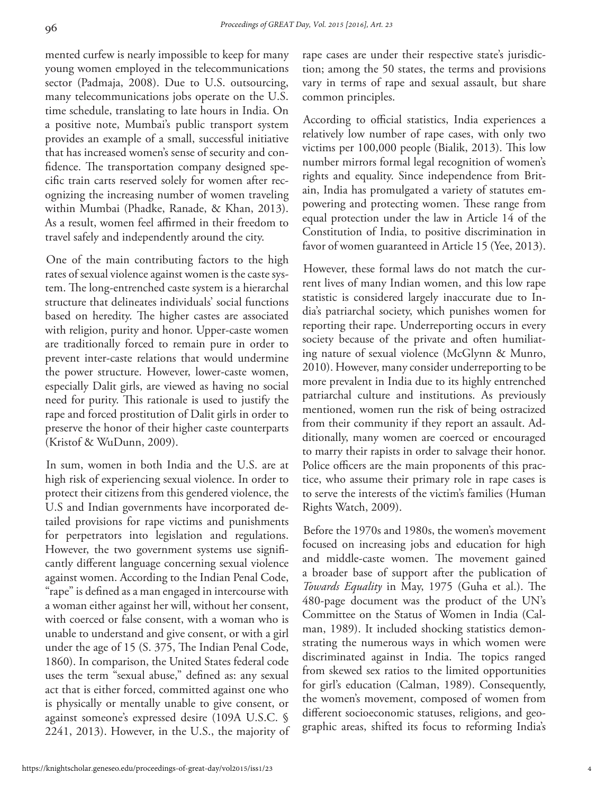mented curfew is nearly impossible to keep for many young women employed in the telecommunications sector (Padmaja, 2008). Due to U.S. outsourcing, many telecommunications jobs operate on the U.S. time schedule, translating to late hours in India. On a positive note, Mumbai's public transport system provides an example of a small, successful initiative that has increased women's sense of security and confidence. The transportation company designed specific train carts reserved solely for women after recognizing the increasing number of women traveling within Mumbai (Phadke, Ranade, & Khan, 2013). As a result, women feel affirmed in their freedom to travel safely and independently around the city.

One of the main contributing factors to the high rates of sexual violence against women is the caste system. The long-entrenched caste system is a hierarchal structure that delineates individuals' social functions based on heredity. The higher castes are associated with religion, purity and honor. Upper-caste women are traditionally forced to remain pure in order to prevent inter-caste relations that would undermine the power structure. However, lower-caste women, especially Dalit girls, are viewed as having no social need for purity. This rationale is used to justify the rape and forced prostitution of Dalit girls in order to preserve the honor of their higher caste counterparts (Kristof & WuDunn, 2009).

In sum, women in both India and the U.S. are at high risk of experiencing sexual violence. In order to protect their citizens from this gendered violence, the U.S and Indian governments have incorporated detailed provisions for rape victims and punishments for perpetrators into legislation and regulations. However, the two government systems use significantly different language concerning sexual violence against women. According to the Indian Penal Code, "rape" is defined as a man engaged in intercourse with a woman either against her will, without her consent, with coerced or false consent, with a woman who is unable to understand and give consent, or with a girl under the age of 15 (S. 375, The Indian Penal Code, 1860). In comparison, the United States federal code uses the term "sexual abuse," defined as: any sexual act that is either forced, committed against one who is physically or mentally unable to give consent, or against someone's expressed desire (109A U.S.C. § 2241, 2013). However, in the U.S., the majority of rape cases are under their respective state's jurisdiction; among the 50 states, the terms and provisions vary in terms of rape and sexual assault, but share common principles.

According to official statistics, India experiences a relatively low number of rape cases, with only two victims per 100,000 people (Bialik, 2013). This low number mirrors formal legal recognition of women's rights and equality. Since independence from Britain, India has promulgated a variety of statutes empowering and protecting women. These range from equal protection under the law in Article 14 of the Constitution of India, to positive discrimination in favor of women guaranteed in Article 15 (Yee, 2013).

However, these formal laws do not match the current lives of many Indian women, and this low rape statistic is considered largely inaccurate due to India's patriarchal society, which punishes women for reporting their rape. Underreporting occurs in every society because of the private and often humiliating nature of sexual violence (McGlynn & Munro, 2010). However, many consider underreporting to be more prevalent in India due to its highly entrenched patriarchal culture and institutions. As previously mentioned, women run the risk of being ostracized from their community if they report an assault. Additionally, many women are coerced or encouraged to marry their rapists in order to salvage their honor. Police officers are the main proponents of this practice, who assume their primary role in rape cases is to serve the interests of the victim's families (Human Rights Watch, 2009).

Before the 1970s and 1980s, the women's movement focused on increasing jobs and education for high and middle-caste women. The movement gained a broader base of support after the publication of *Towards Equality* in May, 1975 (Guha et al.). The 480-page document was the product of the UN's Committee on the Status of Women in India (Calman, 1989). It included shocking statistics demonstrating the numerous ways in which women were discriminated against in India. The topics ranged from skewed sex ratios to the limited opportunities for girl's education (Calman, 1989). Consequently, the women's movement, composed of women from different socioeconomic statuses, religions, and geographic areas, shifted its focus to reforming India's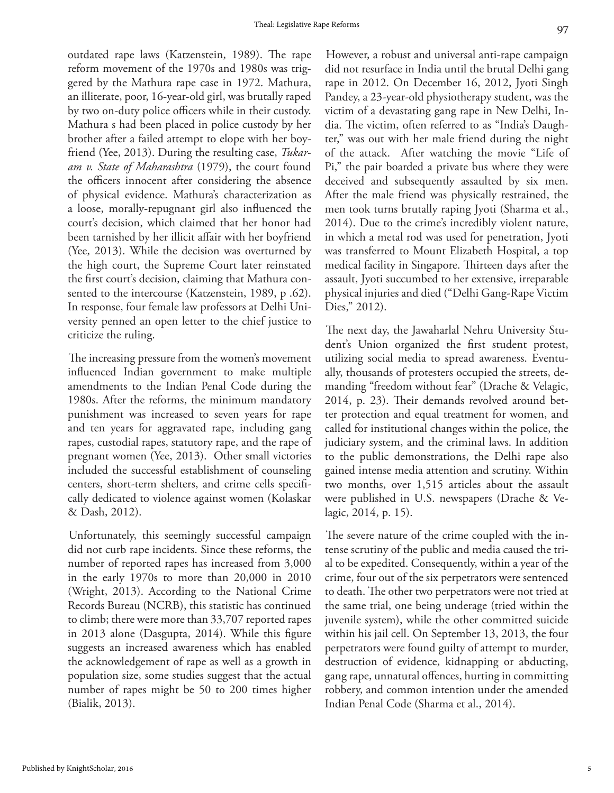outdated rape laws (Katzenstein, 1989). The rape reform movement of the 1970s and 1980s was triggered by the Mathura rape case in 1972. Mathura, an illiterate, poor, 16-year-old girl, was brutally raped by two on-duty police officers while in their custody. Mathura s had been placed in police custody by her brother after a failed attempt to elope with her boyfriend (Yee, 2013). During the resulting case, *Tukaram v. State of Maharashtra* (1979), the court found the officers innocent after considering the absence of physical evidence. Mathura's characterization as a loose, morally-repugnant girl also influenced the court's decision, which claimed that her honor had been tarnished by her illicit affair with her boyfriend (Yee, 2013). While the decision was overturned by the high court, the Supreme Court later reinstated the first court's decision, claiming that Mathura consented to the intercourse (Katzenstein, 1989, p .62). In response, four female law professors at Delhi University penned an open letter to the chief justice to criticize the ruling.

The increasing pressure from the women's movement influenced Indian government to make multiple amendments to the Indian Penal Code during the 1980s. After the reforms, the minimum mandatory punishment was increased to seven years for rape and ten years for aggravated rape, including gang rapes, custodial rapes, statutory rape, and the rape of pregnant women (Yee, 2013). Other small victories included the successful establishment of counseling centers, short-term shelters, and crime cells specifically dedicated to violence against women (Kolaskar & Dash, 2012).

Unfortunately, this seemingly successful campaign did not curb rape incidents. Since these reforms, the number of reported rapes has increased from 3,000 in the early 1970s to more than 20,000 in 2010 (Wright, 2013). According to the National Crime Records Bureau (NCRB), this statistic has continued to climb; there were more than 33,707 reported rapes in 2013 alone (Dasgupta, 2014). While this figure suggests an increased awareness which has enabled the acknowledgement of rape as well as a growth in population size, some studies suggest that the actual number of rapes might be 50 to 200 times higher (Bialik, 2013).

However, a robust and universal anti-rape campaign did not resurface in India until the brutal Delhi gang rape in 2012. On December 16, 2012, Jyoti Singh Pandey, a 23-year-old physiotherapy student, was the victim of a devastating gang rape in New Delhi, India. The victim, often referred to as "India's Daughter," was out with her male friend during the night of the attack. After watching the movie "Life of Pi," the pair boarded a private bus where they were deceived and subsequently assaulted by six men. After the male friend was physically restrained, the men took turns brutally raping Jyoti (Sharma et al., 2014). Due to the crime's incredibly violent nature, in which a metal rod was used for penetration, Jyoti was transferred to Mount Elizabeth Hospital, a top medical facility in Singapore. Thirteen days after the assault, Jyoti succumbed to her extensive, irreparable physical injuries and died ("Delhi Gang-Rape Victim Dies," 2012).

The next day, the Jawaharlal Nehru University Student's Union organized the first student protest, utilizing social media to spread awareness. Eventually, thousands of protesters occupied the streets, demanding "freedom without fear" (Drache & Velagic, 2014, p. 23). Their demands revolved around better protection and equal treatment for women, and called for institutional changes within the police, the judiciary system, and the criminal laws. In addition to the public demonstrations, the Delhi rape also gained intense media attention and scrutiny. Within two months, over 1,515 articles about the assault were published in U.S. newspapers (Drache & Velagic, 2014, p. 15).

The severe nature of the crime coupled with the intense scrutiny of the public and media caused the trial to be expedited. Consequently, within a year of the crime, four out of the six perpetrators were sentenced to death. The other two perpetrators were not tried at the same trial, one being underage (tried within the juvenile system), while the other committed suicide within his jail cell. On September 13, 2013, the four perpetrators were found guilty of attempt to murder, destruction of evidence, kidnapping or abducting, gang rape, unnatural offences, hurting in committing robbery, and common intention under the amended Indian Penal Code (Sharma et al., 2014).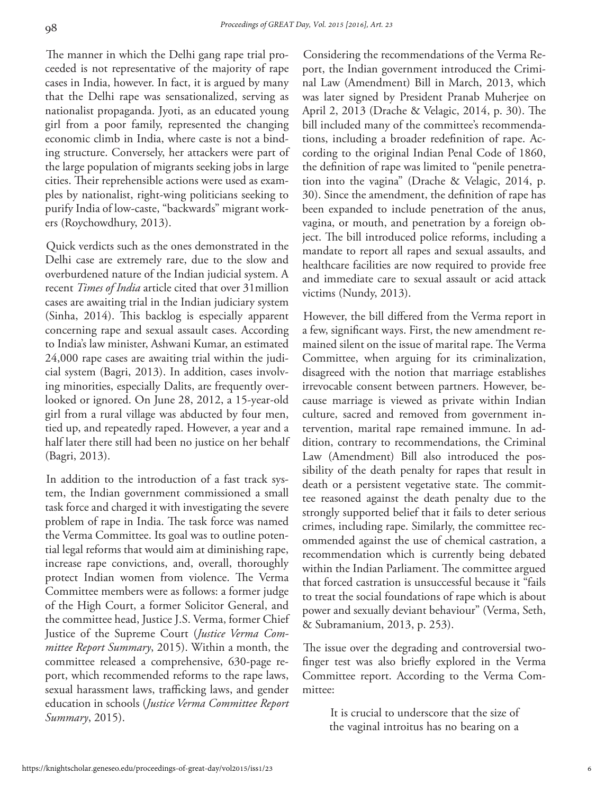The manner in which the Delhi gang rape trial proceeded is not representative of the majority of rape cases in India, however. In fact, it is argued by many that the Delhi rape was sensationalized, serving as nationalist propaganda. Jyoti, as an educated young girl from a poor family, represented the changing economic climb in India, where caste is not a binding structure. Conversely, her attackers were part of the large population of migrants seeking jobs in large cities. Their reprehensible actions were used as examples by nationalist, right-wing politicians seeking to purify India of low-caste, "backwards" migrant workers (Roychowdhury, 2013).

Quick verdicts such as the ones demonstrated in the Delhi case are extremely rare, due to the slow and overburdened nature of the Indian judicial system. A recent *Times of India* article cited that over 31million cases are awaiting trial in the Indian judiciary system (Sinha, 2014). This backlog is especially apparent concerning rape and sexual assault cases. According to India's law minister, Ashwani Kumar, an estimated 24,000 rape cases are awaiting trial within the judicial system (Bagri, 2013). In addition, cases involving minorities, especially Dalits, are frequently overlooked or ignored. On June 28, 2012, a 15-year-old girl from a rural village was abducted by four men, tied up, and repeatedly raped. However, a year and a half later there still had been no justice on her behalf (Bagri, 2013).

In addition to the introduction of a fast track system, the Indian government commissioned a small task force and charged it with investigating the severe problem of rape in India. The task force was named the Verma Committee. Its goal was to outline potential legal reforms that would aim at diminishing rape, increase rape convictions, and, overall, thoroughly protect Indian women from violence. The Verma Committee members were as follows: a former judge of the High Court, a former Solicitor General, and the committee head, Justice J.S. Verma, former Chief Justice of the Supreme Court (*Justice Verma Committee Report Summary*, 2015). Within a month, the committee released a comprehensive, 630-page report, which recommended reforms to the rape laws, sexual harassment laws, trafficking laws, and gender education in schools (*Justice Verma Committee Report Summary*, 2015).

Considering the recommendations of the Verma Report, the Indian government introduced the Criminal Law (Amendment) Bill in March, 2013, which was later signed by President Pranab Muherjee on April 2, 2013 (Drache & Velagic, 2014, p. 30). The bill included many of the committee's recommendations, including a broader redefinition of rape. According to the original Indian Penal Code of 1860, the definition of rape was limited to "penile penetration into the vagina" (Drache & Velagic, 2014, p. 30). Since the amendment, the definition of rape has been expanded to include penetration of the anus, vagina, or mouth, and penetration by a foreign object. The bill introduced police reforms, including a mandate to report all rapes and sexual assaults, and healthcare facilities are now required to provide free and immediate care to sexual assault or acid attack victims (Nundy, 2013).

However, the bill differed from the Verma report in a few, significant ways. First, the new amendment remained silent on the issue of marital rape. The Verma Committee, when arguing for its criminalization, disagreed with the notion that marriage establishes irrevocable consent between partners. However, because marriage is viewed as private within Indian culture, sacred and removed from government intervention, marital rape remained immune. In addition, contrary to recommendations, the Criminal Law (Amendment) Bill also introduced the possibility of the death penalty for rapes that result in death or a persistent vegetative state. The committee reasoned against the death penalty due to the strongly supported belief that it fails to deter serious crimes, including rape. Similarly, the committee recommended against the use of chemical castration, a recommendation which is currently being debated within the Indian Parliament. The committee argued that forced castration is unsuccessful because it "fails to treat the social foundations of rape which is about power and sexually deviant behaviour" (Verma, Seth, & Subramanium, 2013, p. 253).

The issue over the degrading and controversial twofinger test was also briefly explored in the Verma Committee report. According to the Verma Committee:

> It is crucial to underscore that the size of the vaginal introitus has no bearing on a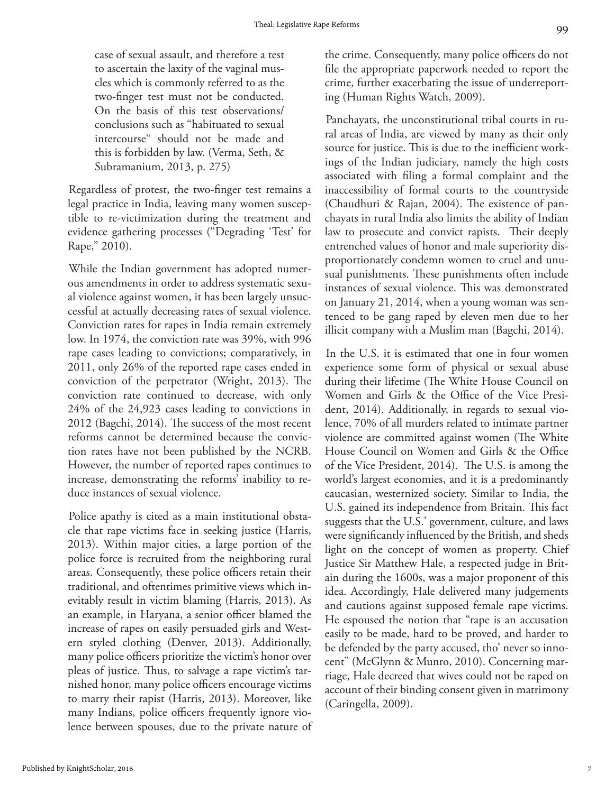case of sexual assault, and therefore a test to ascertain the laxity of the vaginal muscles which is commonly referred to as the two-finger test must not be conducted. On the basis of this test observations/ conclusions such as "habituated to sexual intercourse" should not be made and this is forbidden by law. (Verma, Seth, & Subramanium, 2013, p. 275)

Regardless of protest, the two-finger test remains a legal practice in India, leaving many women susceptible to re-victimization during the treatment and evidence gathering processes ("Degrading 'Test' for Rape," 2010).

While the Indian government has adopted numerous amendments in order to address systematic sexual violence against women, it has been largely unsuccessful at actually decreasing rates of sexual violence. Conviction rates for rapes in India remain extremely low. In 1974, the conviction rate was 39%, with 996 rape cases leading to convictions; comparatively, in 2011, only 26% of the reported rape cases ended in conviction of the perpetrator (Wright, 2013). The conviction rate continued to decrease, with only 24% of the 24,923 cases leading to convictions in 2012 (Bagchi, 2014). The success of the most recent reforms cannot be determined because the conviction rates have not been published by the NCRB. However, the number of reported rapes continues to increase, demonstrating the reforms' inability to reduce instances of sexual violence.

Police apathy is cited as a main institutional obstacle that rape victims face in seeking justice (Harris, 2013). Within major cities, a large portion of the police force is recruited from the neighboring rural areas. Consequently, these police officers retain their traditional, and oftentimes primitive views which inevitably result in victim blaming (Harris, 2013). As an example, in Haryana, a senior officer blamed the increase of rapes on easily persuaded girls and Western styled clothing (Denver, 2013). Additionally, many police officers prioritize the victim's honor over pleas of justice. Thus, to salvage a rape victim's tarnished honor, many police officers encourage victims to marry their rapist (Harris, 2013). Moreover, like many Indians, police officers frequently ignore violence between spouses, due to the private nature of the crime. Consequently, many police officers do not file the appropriate paperwork needed to report the crime, further exacerbating the issue of underreporting (Human Rights Watch, 2009).

Panchayats, the unconstitutional tribal courts in rural areas of India, are viewed by many as their only source for justice. This is due to the inefficient workings of the Indian judiciary, namely the high costs associated with filing a formal complaint and the inaccessibility of formal courts to the countryside (Chaudhuri & Rajan, 2004). The existence of panchayats in rural India also limits the ability of Indian law to prosecute and convict rapists. Their deeply entrenched values of honor and male superiority disproportionately condemn women to cruel and unusual punishments. These punishments often include instances of sexual violence. This was demonstrated on January 21, 2014, when a young woman was sentenced to be gang raped by eleven men due to her illicit company with a Muslim man (Bagchi, 2014).

In the U.S. it is estimated that one in four women experience some form of physical or sexual abuse during their lifetime (The White House Council on Women and Girls & the Office of the Vice President, 2014). Additionally, in regards to sexual violence, 70% of all murders related to intimate partner violence are committed against women (The White House Council on Women and Girls & the Office of the Vice President, 2014). The U.S. is among the world's largest economies, and it is a predominantly caucasian, westernized society. Similar to India, the U.S. gained its independence from Britain. This fact suggests that the U.S.' government, culture, and laws were significantly influenced by the British, and sheds light on the concept of women as property. Chief Justice Sir Matthew Hale, a respected judge in Britain during the 1600s, was a major proponent of this idea. Accordingly, Hale delivered many judgements and cautions against supposed female rape victims. He espoused the notion that "rape is an accusation easily to be made, hard to be proved, and harder to be defended by the party accused, tho' never so innocent" (McGlynn & Munro, 2010). Concerning marriage, Hale decreed that wives could not be raped on account of their binding consent given in matrimony (Caringella, 2009).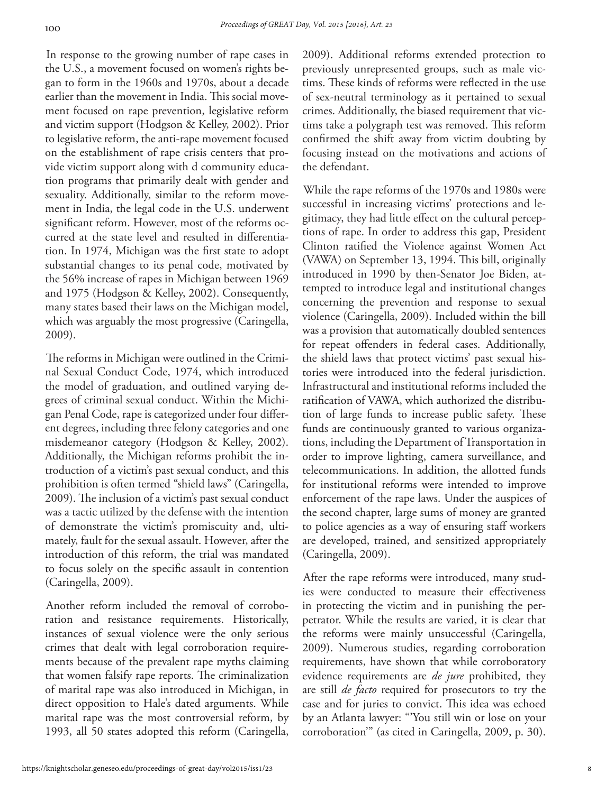In response to the growing number of rape cases in the U.S., a movement focused on women's rights began to form in the 1960s and 1970s, about a decade earlier than the movement in India. This social movement focused on rape prevention, legislative reform and victim support (Hodgson & Kelley, 2002). Prior to legislative reform, the anti-rape movement focused on the establishment of rape crisis centers that provide victim support along with d community education programs that primarily dealt with gender and sexuality. Additionally, similar to the reform movement in India, the legal code in the U.S. underwent significant reform. However, most of the reforms occurred at the state level and resulted in differentiation. In 1974, Michigan was the first state to adopt substantial changes to its penal code, motivated by the 56% increase of rapes in Michigan between 1969 and 1975 (Hodgson & Kelley, 2002). Consequently, many states based their laws on the Michigan model, which was arguably the most progressive (Caringella, 2009).

The reforms in Michigan were outlined in the Criminal Sexual Conduct Code, 1974, which introduced the model of graduation, and outlined varying degrees of criminal sexual conduct. Within the Michigan Penal Code, rape is categorized under four different degrees, including three felony categories and one misdemeanor category (Hodgson & Kelley, 2002). Additionally, the Michigan reforms prohibit the introduction of a victim's past sexual conduct, and this prohibition is often termed "shield laws" (Caringella, 2009). The inclusion of a victim's past sexual conduct was a tactic utilized by the defense with the intention of demonstrate the victim's promiscuity and, ultimately, fault for the sexual assault. However, after the introduction of this reform, the trial was mandated to focus solely on the specific assault in contention (Caringella, 2009).

Another reform included the removal of corroboration and resistance requirements. Historically, instances of sexual violence were the only serious crimes that dealt with legal corroboration requirements because of the prevalent rape myths claiming that women falsify rape reports. The criminalization of marital rape was also introduced in Michigan, in direct opposition to Hale's dated arguments. While marital rape was the most controversial reform, by 1993, all 50 states adopted this reform (Caringella,

2009). Additional reforms extended protection to previously unrepresented groups, such as male victims. These kinds of reforms were reflected in the use of sex-neutral terminology as it pertained to sexual crimes. Additionally, the biased requirement that victims take a polygraph test was removed. This reform confirmed the shift away from victim doubting by focusing instead on the motivations and actions of the defendant.

While the rape reforms of the 1970s and 1980s were successful in increasing victims' protections and legitimacy, they had little effect on the cultural perceptions of rape. In order to address this gap, President Clinton ratified the Violence against Women Act (VAWA) on September 13, 1994. This bill, originally introduced in 1990 by then-Senator Joe Biden, attempted to introduce legal and institutional changes concerning the prevention and response to sexual violence (Caringella, 2009). Included within the bill was a provision that automatically doubled sentences for repeat offenders in federal cases. Additionally, the shield laws that protect victims' past sexual histories were introduced into the federal jurisdiction. Infrastructural and institutional reforms included the ratification of VAWA, which authorized the distribution of large funds to increase public safety. These funds are continuously granted to various organizations, including the Department of Transportation in order to improve lighting, camera surveillance, and telecommunications. In addition, the allotted funds for institutional reforms were intended to improve enforcement of the rape laws. Under the auspices of the second chapter, large sums of money are granted to police agencies as a way of ensuring staff workers are developed, trained, and sensitized appropriately (Caringella, 2009).

After the rape reforms were introduced, many studies were conducted to measure their effectiveness in protecting the victim and in punishing the perpetrator. While the results are varied, it is clear that the reforms were mainly unsuccessful (Caringella, 2009). Numerous studies, regarding corroboration requirements, have shown that while corroboratory evidence requirements are *de jure* prohibited, they are still *de facto* required for prosecutors to try the case and for juries to convict. This idea was echoed by an Atlanta lawyer: "'You still win or lose on your corroboration'" (as cited in Caringella, 2009, p. 30).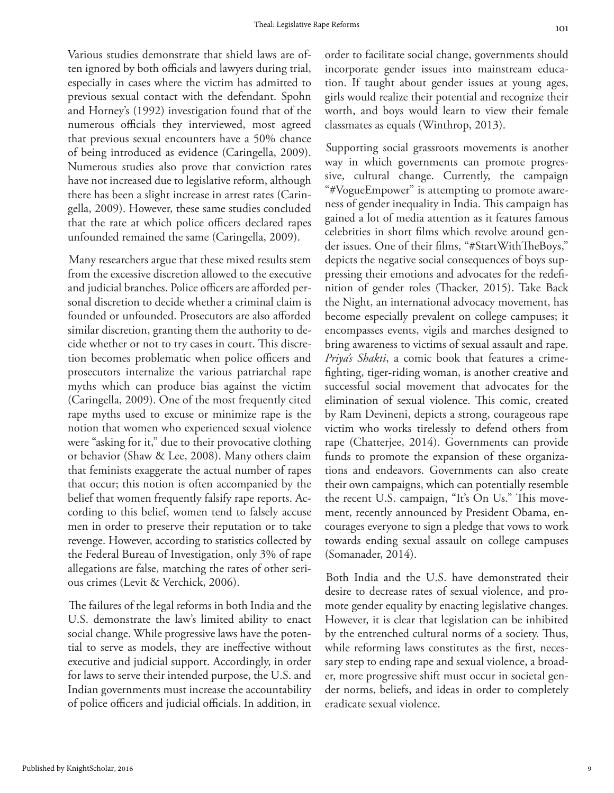Various studies demonstrate that shield laws are often ignored by both officials and lawyers during trial, especially in cases where the victim has admitted to previous sexual contact with the defendant. Spohn and Horney's (1992) investigation found that of the numerous officials they interviewed, most agreed that previous sexual encounters have a 50% chance of being introduced as evidence (Caringella, 2009). Numerous studies also prove that conviction rates have not increased due to legislative reform, although there has been a slight increase in arrest rates (Caringella, 2009). However, these same studies concluded that the rate at which police officers declared rapes unfounded remained the same (Caringella, 2009).

Many researchers argue that these mixed results stem from the excessive discretion allowed to the executive and judicial branches. Police officers are afforded personal discretion to decide whether a criminal claim is founded or unfounded. Prosecutors are also afforded similar discretion, granting them the authority to decide whether or not to try cases in court. This discretion becomes problematic when police officers and prosecutors internalize the various patriarchal rape myths which can produce bias against the victim (Caringella, 2009). One of the most frequently cited rape myths used to excuse or minimize rape is the notion that women who experienced sexual violence were "asking for it," due to their provocative clothing or behavior (Shaw & Lee, 2008). Many others claim that feminists exaggerate the actual number of rapes that occur; this notion is often accompanied by the belief that women frequently falsify rape reports. According to this belief, women tend to falsely accuse men in order to preserve their reputation or to take revenge. However, according to statistics collected by the Federal Bureau of Investigation, only 3% of rape allegations are false, matching the rates of other serious crimes (Levit & Verchick, 2006).

The failures of the legal reforms in both India and the U.S. demonstrate the law's limited ability to enact social change. While progressive laws have the potential to serve as models, they are ineffective without executive and judicial support. Accordingly, in order for laws to serve their intended purpose, the U.S. and Indian governments must increase the accountability of police officers and judicial officials. In addition, in order to facilitate social change, governments should incorporate gender issues into mainstream education. If taught about gender issues at young ages, girls would realize their potential and recognize their worth, and boys would learn to view their female classmates as equals (Winthrop, 2013).

Supporting social grassroots movements is another way in which governments can promote progressive, cultural change. Currently, the campaign "#VogueEmpower" is attempting to promote awareness of gender inequality in India. This campaign has gained a lot of media attention as it features famous celebrities in short films which revolve around gender issues. One of their films, "#StartWithTheBoys," depicts the negative social consequences of boys suppressing their emotions and advocates for the redefinition of gender roles (Thacker, 2015). Take Back the Night, an international advocacy movement, has become especially prevalent on college campuses; it encompasses events, vigils and marches designed to bring awareness to victims of sexual assault and rape. *Priya's Shakti*, a comic book that features a crimefighting, tiger-riding woman, is another creative and successful social movement that advocates for the elimination of sexual violence. This comic, created by Ram Devineni, depicts a strong, courageous rape victim who works tirelessly to defend others from rape (Chatterjee, 2014). Governments can provide funds to promote the expansion of these organizations and endeavors. Governments can also create their own campaigns, which can potentially resemble the recent U.S. campaign, "It's On Us." This movement, recently announced by President Obama, encourages everyone to sign a pledge that vows to work towards ending sexual assault on college campuses (Somanader, 2014).

Both India and the U.S. have demonstrated their desire to decrease rates of sexual violence, and promote gender equality by enacting legislative changes. However, it is clear that legislation can be inhibited by the entrenched cultural norms of a society. Thus, while reforming laws constitutes as the first, necessary step to ending rape and sexual violence, a broader, more progressive shift must occur in societal gender norms, beliefs, and ideas in order to completely eradicate sexual violence.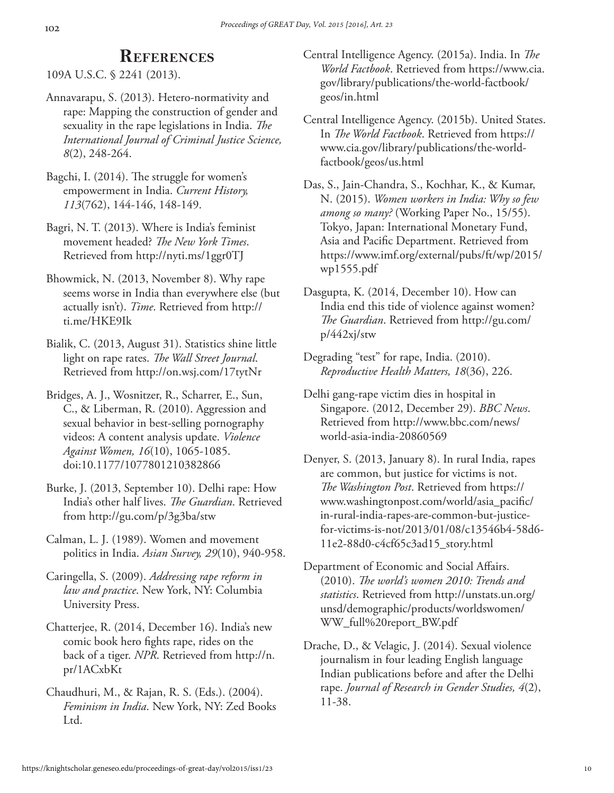### **References**

109A U.S.C. § 2241 (2013).

- Annavarapu, S. (2013). Hetero-normativity and rape: Mapping the construction of gender and sexuality in the rape legislations in India. *The International Journal of Criminal Justice Science, 8*(2), 248-264.
- Bagchi, I. (2014). The struggle for women's empowerment in India. *Current History, 113*(762), 144-146, 148-149.
- Bagri, N. T. (2013). Where is India's feminist movement headed? *The New York Times*. Retrieved from http://nyti.ms/1ggr0TJ
- Bhowmick, N. (2013, November 8). Why rape seems worse in India than everywhere else (but actually isn't). *Time*. Retrieved from http:// ti.me/HKE9Ik
- Bialik, C. (2013, August 31). Statistics shine little light on rape rates. *The Wall Street Journal*. Retrieved from http://on.wsj.com/17tytNr
- Bridges, A. J., Wosnitzer, R., Scharrer, E., Sun, C., & Liberman, R. (2010). Aggression and sexual behavior in best-selling pornography videos: A content analysis update. *Violence Against Women, 16*(10), 1065-1085. doi:10.1177/1077801210382866
- Burke, J. (2013, September 10). Delhi rape: How India's other half lives. *The Guardian*. Retrieved from http://gu.com/p/3g3ba/stw
- Calman, L. J. (1989). Women and movement politics in India. *Asian Survey, 29*(10), 940-958.
- Caringella, S. (2009). *Addressing rape reform in law and practice*. New York, NY: Columbia University Press.
- Chatterjee, R. (2014, December 16). India's new comic book hero fights rape, rides on the back of a tiger. *NPR*. Retrieved from http://n. pr/1ACxbKt
- Chaudhuri, M., & Rajan, R. S. (Eds.). (2004). *Feminism in India*. New York, NY: Zed Books Ltd.
- Central Intelligence Agency. (2015a). India. In *The World Factbook*. Retrieved from https://www.cia. gov/library/publications/the-world-factbook/ geos/in.html
- Central Intelligence Agency. (2015b). United States. In *The World Factbook*. Retrieved from https:// www.cia.gov/library/publications/the-worldfactbook/geos/us.html
- Das, S., Jain-Chandra, S., Kochhar, K., & Kumar, N. (2015). *Women workers in India: Why so few among so many?* (Working Paper No., 15/55). Tokyo, Japan: International Monetary Fund, Asia and Pacific Department. Retrieved from https://www.imf.org/external/pubs/ft/wp/2015/ wp1555.pdf
- Dasgupta, K. (2014, December 10). How can India end this tide of violence against women? *The Guardian*. Retrieved from http://gu.com/ p/442xj/stw
- Degrading "test" for rape, India. (2010). *Reproductive Health Matters, 18*(36), 226.
- Delhi gang-rape victim dies in hospital in Singapore. (2012, December 29). *BBC News*. Retrieved from http://www.bbc.com/news/ world-asia-india-20860569
- Denyer, S. (2013, January 8). In rural India, rapes are common, but justice for victims is not. *The Washington Post*. Retrieved from https:// www.washingtonpost.com/world/asia\_pacific/ in-rural-india-rapes-are-common-but-justicefor-victims-is-not/2013/01/08/c13546b4-58d6- 11e2-88d0-c4cf65c3ad15\_story.html
- Department of Economic and Social Affairs. (2010). *The world's women 2010: Trends and statistics*. Retrieved from http://unstats.un.org/ unsd/demographic/products/worldswomen/ WW\_full%20report\_BW.pdf
- Drache, D., & Velagic, J. (2014). Sexual violence journalism in four leading English language Indian publications before and after the Delhi rape. *Journal of Research in Gender Studies, 4*(2), 11-38.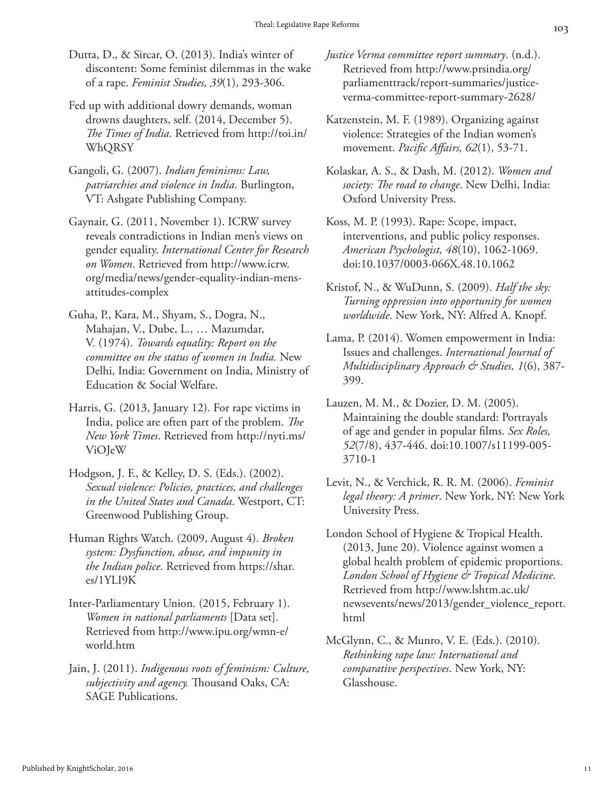- Dutta, D., & Sircar, O. (2013). India's winter of discontent: Some feminist dilemmas in the wake of a rape. *Feminist Studies, 39*(1), 293-306.
- Fed up with additional dowry demands, woman drowns daughters, self. (2014, December 5). *The Times of India*. Retrieved from http://toi.in/ WhQRSY
- Gangoli, G. (2007). *Indian feminisms: Law, patriarchies and violence in India*. Burlington, VT: Ashgate Publishing Company.
- Gaynair, G. (2011, November 1). ICRW survey reveals contradictions in Indian men's views on gender equality. *International Center for Research on Women*. Retrieved from http://www.icrw. org/media/news/gender-equality-indian-mensattitudes-complex
- Guha, P., Kara, M., Shyam, S., Dogra, N., Mahajan, V., Dube, L., … Mazumdar, V. (1974). *Towards equality: Report on the committee on the status of women in India.* New Delhi, India: Government on India, Ministry of Education & Social Welfare.
- Harris, G. (2013, January 12). For rape victims in India, police are often part of the problem. *The New York Times*. Retrieved from http://nyti.ms/ ViOJeW
- Hodgson, J. F., & Kelley, D. S. (Eds.). (2002). *Sexual violence: Policies, practices, and challenges in the United States and Canada*. Westport, CT: Greenwood Publishing Group.
- Human Rights Watch. (2009, August 4). *Broken system: Dysfunction, abuse, and impunity in the Indian police*. Retrieved from https://shar. es/1YLI9K
- Inter-Parliamentary Union. (2015, February 1). *Women in national parliaments* [Data set]. Retrieved from http://www.ipu.org/wmn-e/ world.htm
- Jain, J. (2011). *Indigenous roots of feminism: Culture, subjectivity and agency.* Thousand Oaks, CA: SAGE Publications.
- *Justice Verma committee report summary*. (n.d.). Retrieved from http://www.prsindia.org/ parliamenttrack/report-summaries/justiceverma-committee-report-summary-2628/
- Katzenstein, M. F. (1989). Organizing against violence: Strategies of the Indian women's movement. *Pacific Affairs, 62*(1), 53-71.
- Kolaskar, A. S., & Dash, M. (2012). *Women and society: The road to change*. New Delhi, India: Oxford University Press.
- Koss, M. P. (1993). Rape: Scope, impact, interventions, and public policy responses. *American Psychologist, 48*(10), 1062-1069. doi:10.1037/0003-066X.48.10.1062
- Kristof, N., & WuDunn, S. (2009). *Half the sky: Turning oppression into opportunity for women worldwide*. New York, NY: Alfred A. Knopf.
- Lama, P. (2014). Women empowerment in India: Issues and challenges. *International Journal of Multidisciplinary Approach & Studies, 1*(6), 387- 399.
- Lauzen, M. M., & Dozier, D. M. (2005). Maintaining the double standard: Portrayals of age and gender in popular films. *Sex Roles, 52*(7/8), 437-446. doi:10.1007/s11199-005- 3710-1
- Levit, N., & Verchick, R. R. M. (2006). *Feminist legal theory: A primer*. New York, NY: New York University Press.
- London School of Hygiene & Tropical Health. (2013, June 20). Violence against women a global health problem of epidemic proportions. *London School of Hygiene & Tropical Medicine*. Retrieved from http://www.lshtm.ac.uk/ newsevents/news/2013/gender\_violence\_report. html
- McGlynn, C., & Munro, V. E. (Eds.). (2010). *Rethinking rape law: International and comparative perspectives*. New York, NY: Glasshouse.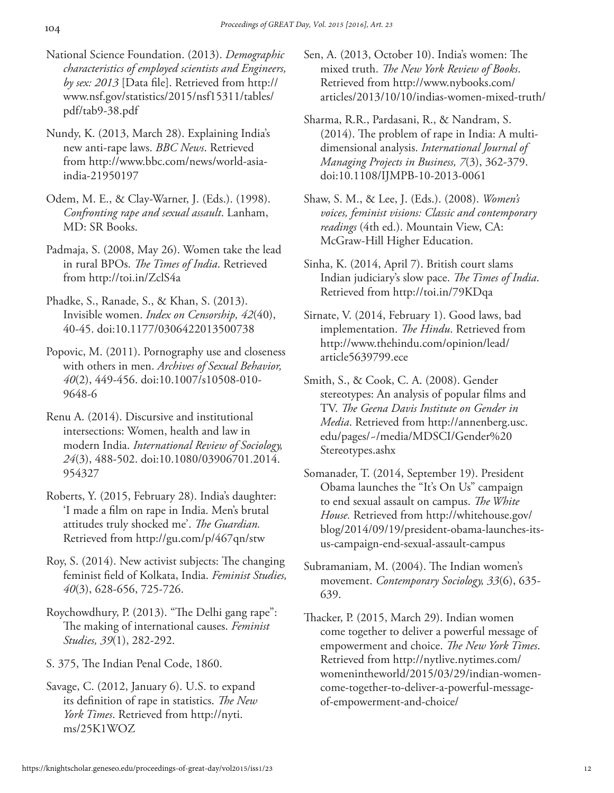- National Science Foundation. (2013). *Demographic characteristics of employed scientists and Engineers, by sex: 2013* [Data file]. Retrieved from http:// www.nsf.gov/statistics/2015/nsf15311/tables/ pdf/tab9-38.pdf
- Nundy, K. (2013, March 28). Explaining India's new anti-rape laws. *BBC News*. Retrieved from http://www.bbc.com/news/world-asiaindia-21950197
- Odem, M. E., & Clay-Warner, J. (Eds.). (1998). *Confronting rape and sexual assault*. Lanham, MD: SR Books.
- Padmaja, S. (2008, May 26). Women take the lead in rural BPOs. *The Times of India*. Retrieved from http://toi.in/ZclS4a
- Phadke, S., Ranade, S., & Khan, S. (2013). Invisible women. *Index on Censorship, 42*(40), 40-45. doi:10.1177/0306422013500738
- Popovic, M. (2011). Pornography use and closeness with others in men. *Archives of Sexual Behavior, 40*(2), 449-456. doi:10.1007/s10508-010- 9648-6
- Renu A. (2014). Discursive and institutional intersections: Women, health and law in modern India. *International Review of Sociology, 24*(3), 488-502. doi:10.1080/03906701.2014. 954327
- Roberts, Y. (2015, February 28). India's daughter: 'I made a film on rape in India. Men's brutal attitudes truly shocked me'. *The Guardian.* Retrieved from http://gu.com/p/467qn/stw
- Roy, S. (2014). New activist subjects: The changing feminist field of Kolkata, India. *Feminist Studies, 40*(3), 628-656, 725-726.
- Roychowdhury, P. (2013). "The Delhi gang rape": The making of international causes. *Feminist Studies, 39*(1), 282-292.
- S. 375, The Indian Penal Code, 1860.
- Savage, C. (2012, January 6). U.S. to expand its definition of rape in statistics. *The New York Times*. Retrieved from http://nyti. ms/25K1WOZ
- Sen, A. (2013, October 10). India's women: The mixed truth. *The New York Review of Books*. Retrieved from http://www.nybooks.com/ articles/2013/10/10/indias-women-mixed-truth/
- Sharma, R.R., Pardasani, R., & Nandram, S. (2014). The problem of rape in India: A multidimensional analysis. *International Journal of Managing Projects in Business, 7*(3), 362-379. doi:10.1108/IJMPB-10-2013-0061
- Shaw, S. M., & Lee, J. (Eds.). (2008). *Women's voices, feminist visions: Classic and contemporary readings* (4th ed.). Mountain View, CA: McGraw-Hill Higher Education.
- Sinha, K. (2014, April 7). British court slams Indian judiciary's slow pace. *The Times of India*. Retrieved from http://toi.in/79KDqa
- Sirnate, V. (2014, February 1). Good laws, bad implementation. *The Hindu*. Retrieved from http://www.thehindu.com/opinion/lead/ article5639799.ece
- Smith, S., & Cook, C. A. (2008). Gender stereotypes: An analysis of popular films and TV. *The Geena Davis Institute on Gender in Media*. Retrieved from http://annenberg.usc. edu/pages/~/media/MDSCI/Gender%20 Stereotypes.ashx
- Somanader, T. (2014, September 19). President Obama launches the "It's On Us" campaign to end sexual assault on campus. *The White House.* Retrieved from http://whitehouse.gov/ blog/2014/09/19/president-obama-launches-itsus-campaign-end-sexual-assault-campus
- Subramaniam, M. (2004). The Indian women's movement. *Contemporary Sociology, 33*(6), 635- 639.
- Thacker, P. (2015, March 29). Indian women come together to deliver a powerful message of empowerment and choice. *The New York Times*. Retrieved from http://nytlive.nytimes.com/ womenintheworld/2015/03/29/indian-womencome-together-to-deliver-a-powerful-messageof-empowerment-and-choice/